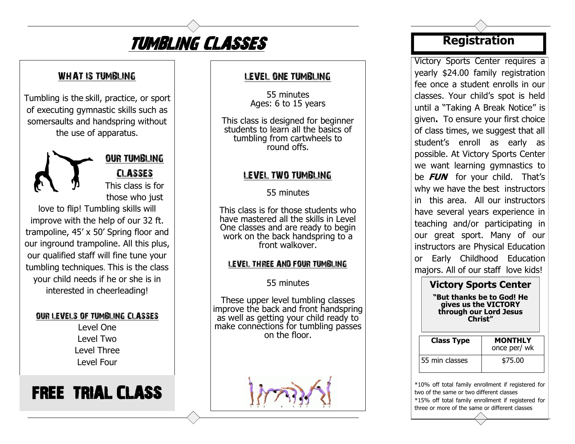

## WHAT IS TUMBLING

Tumbling is the skill, practice, or sport of executing gymnastic skills such as somersaults and handspring without the use of apparatus.



OUR TUMBLING CLASSES

This class is for those who just

love to flip! Tumbling skills will improve with the help of our 32 ft. trampoline, 45' x 50' Spring floor and our inground trampoline. All this plus, our qualified staff will fine tune your tumbling techniques. This is the class your child needs if he or she is in interested in cheerleading!

#### OUR LEVELS OF TUMBLING CLASSES

Level One Level Two Level Three Level Four

# FREE TRIAL CLASS

#### LEVEL ONE TUMBLING

55 minutes Ages: 6 to 15 years

This class is designed for beginner students to learn all the basics of tumbling from cartwheels to round offs.

### LEVEL TWO TUMBLING

55 minutes

This class is for those students who have mastered all the skills in Level One classes and are ready to begin work on the back handspring to a front walkover.

#### LEVEL THREE AND FOUR TUMBLING

### 55 minutes

These upper level tumbling classes improve the back and front handspring as well as getting your child ready to make connections for tumbling passes on the floor.



# **Registration**

Victory Sports Center requires a yearly \$24.00 family registration fee once a student enrolls in our classes. Your child's spot is held until a "Taking A Break Notice" is given**.** To ensure your first choice of class times, we suggest that all student's enroll as early as possible. At Victory Sports Center we want learning gymnastics to be **FUN** for your child. That's why we have the best instructors in this area. All our instructors have several years experience in teaching and/or participating in our great sport. Many of our instructors are Physical Education or Early Childhood Education majors. All of our staff love kids!

#### **Victory Sports Center "But thanks be to God! He gives us the VICTORY**

**through our Lord Jesus Christ"**

| <b>Class Type</b> | <b>MONTHLY</b><br>once per/ wk |
|-------------------|--------------------------------|
| 55 min classes    | \$75.00                        |

\*10% off total family enrollment if registered for two of the same or two different classes \*15% off total family enrollment if registered for three or more of the same or different classes